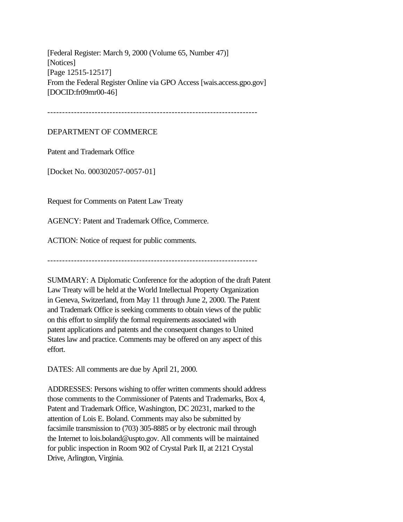[Federal Register: March 9, 2000 (Volume 65, Number 47)] [Notices] [Page 12515-12517] From the Federal Register Online via GPO Access [wais.access.gpo.gov] [DOCID:fr09mr00-46]

DEPARTMENT OF COMMERCE

Patent and Trademark Office

[Docket No. 000302057-0057-01]

Request for Comments on Patent Law Treaty

AGENCY: Patent and Trademark Office, Commerce.

ACTION: Notice of request for public comments.

-----------------------------------------------------------------------

SUMMARY: A Diplomatic Conference for the adoption of the draft Patent Law Treaty will be held at the World Intellectual Property Organization in Geneva, Switzerland, from May 11 through June 2, 2000. The Patent and Trademark Office is seeking comments to obtain views of the public on this effort to simplify the formal requirements associated with patent applications and patents and the consequent changes to United States law and practice. Comments may be offered on any aspect of this effort.

DATES: All comments are due by April 21, 2000.

ADDRESSES: Persons wishing to offer written comments should address those comments to the Commissioner of Patents and Trademarks, Box 4, Patent and Trademark Office, Washington, DC 20231, marked to the attention of Lois E. Boland. Comments may also be submitted by facsimile transmission to (703) 305-8885 or by electronic mail through the Internet to lois.boland@uspto.gov. All comments will be maintained for public inspection in Room 902 of Crystal Park II, at 2121 Crystal Drive, Arlington, Virginia.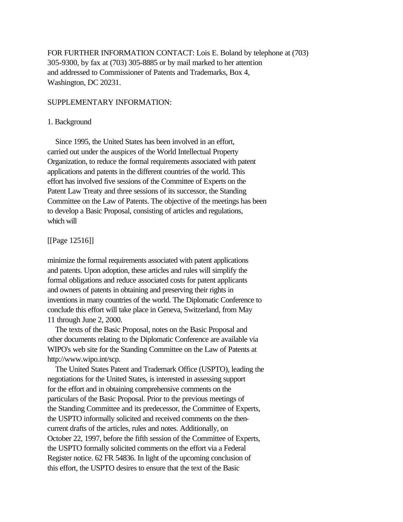FOR FURTHER INFORMATION CONTACT: Lois E. Boland by telephone at (703) 305-9300, by fax at (703) 305-8885 or by mail marked to her attention and addressed to Commissioner of Patents and Trademarks, Box 4, Washington, DC 20231.

## SUPPLEMENTARY INFORMATION:

## 1. Background

 Since 1995, the United States has been involved in an effort, carried out under the auspices of the World Intellectual Property Organization, to reduce the formal requirements associated with patent applications and patents in the different countries of the world. This effort has involved five sessions of the Committee of Experts on the Patent Law Treaty and three sessions of its successor, the Standing Committee on the Law of Patents. The objective of the meetings has been to develop a Basic Proposal, consisting of articles and regulations, which will

[[Page 12516]]

minimize the formal requirements associated with patent applications and patents. Upon adoption, these articles and rules will simplify the formal obligations and reduce associated costs for patent applicants and owners of patents in obtaining and preserving their rights in inventions in many countries of the world. The Diplomatic Conference to conclude this effort will take place in Geneva, Switzerland, from May 11 through June 2, 2000.

 The texts of the Basic Proposal, notes on the Basic Proposal and other documents relating to the Diplomatic Conference are available via WIPO's web site for the Standing Committee on the Law of Patents at http://www.wipo.int/scp.

 The United States Patent and Trademark Office (USPTO), leading the negotiations for the United States, is interested in assessing support for the effort and in obtaining comprehensive comments on the particulars of the Basic Proposal. Prior to the previous meetings of the Standing Committee and its predecessor, the Committee of Experts, the USPTO informally solicited and received comments on the thencurrent drafts of the articles, rules and notes. Additionally, on October 22, 1997, before the fifth session of the Committee of Experts, the USPTO formally solicited comments on the effort via a Federal Register notice. 62 FR 54836. In light of the upcoming conclusion of this effort, the USPTO desires to ensure that the text of the Basic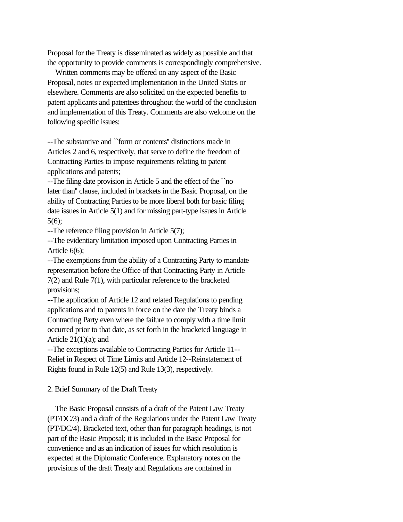Proposal for the Treaty is disseminated as widely as possible and that the opportunity to provide comments is correspondingly comprehensive.

 Written comments may be offered on any aspect of the Basic Proposal, notes or expected implementation in the United States or elsewhere. Comments are also solicited on the expected benefits to patent applicants and patentees throughout the world of the conclusion and implementation of this Treaty. Comments are also welcome on the following specific issues:

--The substantive and ``form or contents'' distinctions made in Articles 2 and 6, respectively, that serve to define the freedom of Contracting Parties to impose requirements relating to patent applications and patents;

--The filing date provision in Article 5 and the effect of the ``no later than'' clause, included in brackets in the Basic Proposal, on the ability of Contracting Parties to be more liberal both for basic filing date issues in Article 5(1) and for missing part-type issues in Article 5(6);

--The reference filing provision in Article 5(7);

--The evidentiary limitation imposed upon Contracting Parties in Article 6(6);

--The exemptions from the ability of a Contracting Party to mandate representation before the Office of that Contracting Party in Article 7(2) and Rule 7(1), with particular reference to the bracketed provisions;

--The application of Article 12 and related Regulations to pending applications and to patents in force on the date the Treaty binds a Contracting Party even where the failure to comply with a time limit occurred prior to that date, as set forth in the bracketed language in Article  $21(1)(a)$ ; and

--The exceptions available to Contracting Parties for Article 11-- Relief in Respect of Time Limits and Article 12--Reinstatement of Rights found in Rule 12(5) and Rule 13(3), respectively.

2. Brief Summary of the Draft Treaty

 The Basic Proposal consists of a draft of the Patent Law Treaty (PT/DC/3) and a draft of the Regulations under the Patent Law Treaty (PT/DC/4). Bracketed text, other than for paragraph headings, is not part of the Basic Proposal; it is included in the Basic Proposal for convenience and as an indication of issues for which resolution is expected at the Diplomatic Conference. Explanatory notes on the provisions of the draft Treaty and Regulations are contained in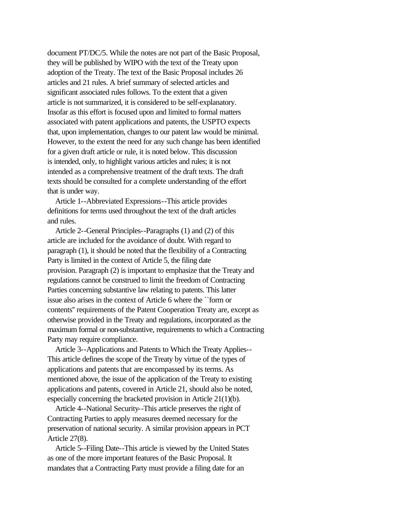document PT/DC/5. While the notes are not part of the Basic Proposal, they will be published by WIPO with the text of the Treaty upon adoption of the Treaty. The text of the Basic Proposal includes 26 articles and 21 rules. A brief summary of selected articles and significant associated rules follows. To the extent that a given article is not summarized, it is considered to be self-explanatory. Insofar as this effort is focused upon and limited to formal matters associated with patent applications and patents, the USPTO expects that, upon implementation, changes to our patent law would be minimal. However, to the extent the need for any such change has been identified for a given draft article or rule, it is noted below. This discussion is intended, only, to highlight various articles and rules; it is not intended as a comprehensive treatment of the draft texts. The draft texts should be consulted for a complete understanding of the effort that is under way.

 Article 1--Abbreviated Expressions--This article provides definitions for terms used throughout the text of the draft articles and rules.

 Article 2--General Principles--Paragraphs (1) and (2) of this article are included for the avoidance of doubt. With regard to paragraph (1), it should be noted that the flexibility of a Contracting Party is limited in the context of Article 5, the filing date provision. Paragraph (2) is important to emphasize that the Treaty and regulations cannot be construed to limit the freedom of Contracting Parties concerning substantive law relating to patents. This latter issue also arises in the context of Article 6 where the ``form or contents'' requirements of the Patent Cooperation Treaty are, except as otherwise provided in the Treaty and regulations, incorporated as the maximum formal or non-substantive, requirements to which a Contracting Party may require compliance.

 Article 3--Applications and Patents to Which the Treaty Applies-- This article defines the scope of the Treaty by virtue of the types of applications and patents that are encompassed by its terms. As mentioned above, the issue of the application of the Treaty to existing applications and patents, covered in Article 21, should also be noted, especially concerning the bracketed provision in Article 21(1)(b).

 Article 4--National Security--This article preserves the right of Contracting Parties to apply measures deemed necessary for the preservation of national security. A similar provision appears in PCT Article 27(8).

 Article 5--Filing Date--This article is viewed by the United States as one of the more important features of the Basic Proposal. It mandates that a Contracting Party must provide a filing date for an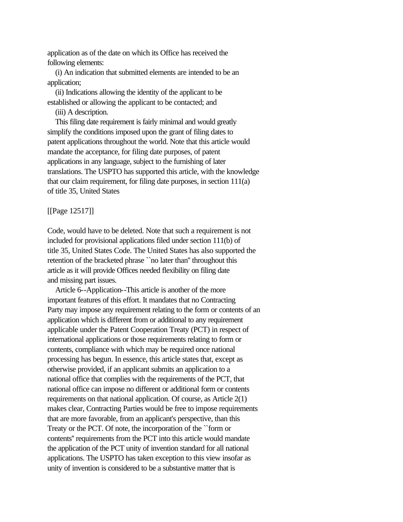application as of the date on which its Office has received the following elements:

 (i) An indication that submitted elements are intended to be an application;

 (ii) Indications allowing the identity of the applicant to be established or allowing the applicant to be contacted; and

(iii) A description.

 This filing date requirement is fairly minimal and would greatly simplify the conditions imposed upon the grant of filing dates to patent applications throughout the world. Note that this article would mandate the acceptance, for filing date purposes, of patent applications in any language, subject to the furnishing of later translations. The USPTO has supported this article, with the knowledge that our claim requirement, for filing date purposes, in section 111(a) of title 35, United States

[[Page 12517]]

Code, would have to be deleted. Note that such a requirement is not included for provisional applications filed under section 111(b) of title 35, United States Code. The United States has also supported the retention of the bracketed phrase ``no later than'' throughout this article as it will provide Offices needed flexibility on filing date and missing part issues.

 Article 6--Application--This article is another of the more important features of this effort. It mandates that no Contracting Party may impose any requirement relating to the form or contents of an application which is different from or additional to any requirement applicable under the Patent Cooperation Treaty (PCT) in respect of international applications or those requirements relating to form or contents, compliance with which may be required once national processing has begun. In essence, this article states that, except as otherwise provided, if an applicant submits an application to a national office that complies with the requirements of the PCT, that national office can impose no different or additional form or contents requirements on that national application. Of course, as Article 2(1) makes clear, Contracting Parties would be free to impose requirements that are more favorable, from an applicant's perspective, than this Treaty or the PCT. Of note, the incorporation of the ``form or contents'' requirements from the PCT into this article would mandate the application of the PCT unity of invention standard for all national applications. The USPTO has taken exception to this view insofar as unity of invention is considered to be a substantive matter that is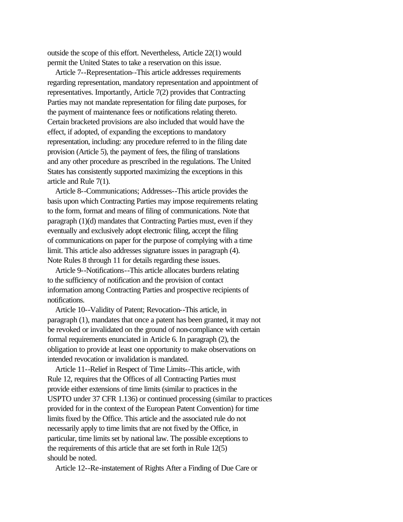outside the scope of this effort. Nevertheless, Article 22(1) would permit the United States to take a reservation on this issue.

 Article 7--Representation--This article addresses requirements regarding representation, mandatory representation and appointment of representatives. Importantly, Article 7(2) provides that Contracting Parties may not mandate representation for filing date purposes, for the payment of maintenance fees or notifications relating thereto. Certain bracketed provisions are also included that would have the effect, if adopted, of expanding the exceptions to mandatory representation, including: any procedure referred to in the filing date provision (Article 5), the payment of fees, the filing of translations and any other procedure as prescribed in the regulations. The United States has consistently supported maximizing the exceptions in this article and Rule 7(1).

 Article 8--Communications; Addresses--This article provides the basis upon which Contracting Parties may impose requirements relating to the form, format and means of filing of communications. Note that paragraph (1)(d) mandates that Contracting Parties must, even if they eventually and exclusively adopt electronic filing, accept the filing of communications on paper for the purpose of complying with a time limit. This article also addresses signature issues in paragraph (4). Note Rules 8 through 11 for details regarding these issues.

 Article 9--Notifications--This article allocates burdens relating to the sufficiency of notification and the provision of contact information among Contracting Parties and prospective recipients of notifications.

 Article 10--Validity of Patent; Revocation--This article, in paragraph (1), mandates that once a patent has been granted, it may not be revoked or invalidated on the ground of non-compliance with certain formal requirements enunciated in Article 6. In paragraph (2), the obligation to provide at least one opportunity to make observations on intended revocation or invalidation is mandated.

 Article 11--Relief in Respect of Time Limits--This article, with Rule 12, requires that the Offices of all Contracting Parties must provide either extensions of time limits (similar to practices in the USPTO under 37 CFR 1.136) or continued processing (similar to practices provided for in the context of the European Patent Convention) for time limits fixed by the Office. This article and the associated rule do not necessarily apply to time limits that are not fixed by the Office, in particular, time limits set by national law. The possible exceptions to the requirements of this article that are set forth in Rule 12(5) should be noted.

Article 12--Re-instatement of Rights After a Finding of Due Care or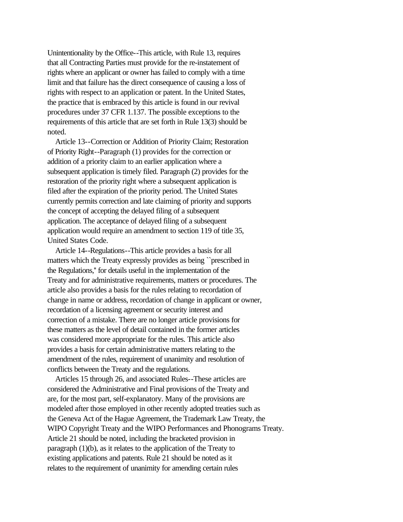Unintentionality by the Office--This article, with Rule 13, requires that all Contracting Parties must provide for the re-instatement of rights where an applicant or owner has failed to comply with a time limit and that failure has the direct consequence of causing a loss of rights with respect to an application or patent. In the United States, the practice that is embraced by this article is found in our revival procedures under 37 CFR 1.137. The possible exceptions to the requirements of this article that are set forth in Rule 13(3) should be noted.

 Article 13--Correction or Addition of Priority Claim; Restoration of Priority Right--Paragraph (1) provides for the correction or addition of a priority claim to an earlier application where a subsequent application is timely filed. Paragraph (2) provides for the restoration of the priority right where a subsequent application is filed after the expiration of the priority period. The United States currently permits correction and late claiming of priority and supports the concept of accepting the delayed filing of a subsequent application. The acceptance of delayed filing of a subsequent application would require an amendment to section 119 of title 35, United States Code.

 Article 14--Regulations--This article provides a basis for all matters which the Treaty expressly provides as being ``prescribed in the Regulations,'' for details useful in the implementation of the Treaty and for administrative requirements, matters or procedures. The article also provides a basis for the rules relating to recordation of change in name or address, recordation of change in applicant or owner, recordation of a licensing agreement or security interest and correction of a mistake. There are no longer article provisions for these matters as the level of detail contained in the former articles was considered more appropriate for the rules. This article also provides a basis for certain administrative matters relating to the amendment of the rules, requirement of unanimity and resolution of conflicts between the Treaty and the regulations.

 Articles 15 through 26, and associated Rules--These articles are considered the Administrative and Final provisions of the Treaty and are, for the most part, self-explanatory. Many of the provisions are modeled after those employed in other recently adopted treaties such as the Geneva Act of the Hague Agreement, the Trademark Law Treaty, the WIPO Copyright Treaty and the WIPO Performances and Phonograms Treaty. Article 21 should be noted, including the bracketed provision in paragraph (1)(b), as it relates to the application of the Treaty to existing applications and patents. Rule 21 should be noted as it relates to the requirement of unanimity for amending certain rules